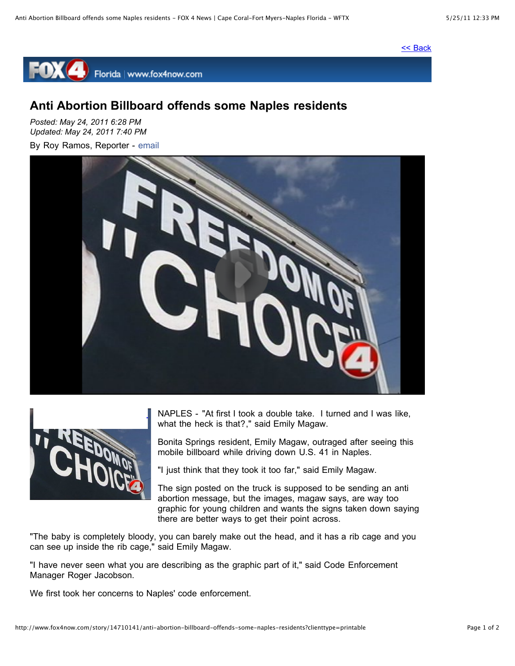## [<< Back](http://www.fox4now.com/story/14710141/anti-abortion-billboard-offends-some-naples-residents?clienttype=printable#)



## **Anti Abortion Billboard offends some Naples residents**

*Posted: May 24, 2011 6:28 PM Updated: May 24, 2011 7:40 PM*

By Roy Ramos, Reporter - [email](mailto:rramos@journalbroadcastgroup.com)





NAPLES - "At first I took a double take. I turned and I was like, what the heck is that?," said Emily Magaw.

Bonita Springs resident, Emily Magaw, outraged after seeing this mobile billboard while driving down U.S. 41 in Naples.

"I just think that they took it too far," said Emily Magaw.

The sign posted on the truck is supposed to be sending an anti abortion message, but the images, magaw says, are way too graphic for young children and wants the signs taken down saying there are better ways to get their point across.

"The baby is completely bloody, you can barely make out the head, and it has a rib cage and you can see up inside the rib cage," said Emily Magaw.

"I have never seen what you are describing as the graphic part of it," said Code Enforcement Manager Roger Jacobson.

We first took her concerns to Naples' code enforcement.